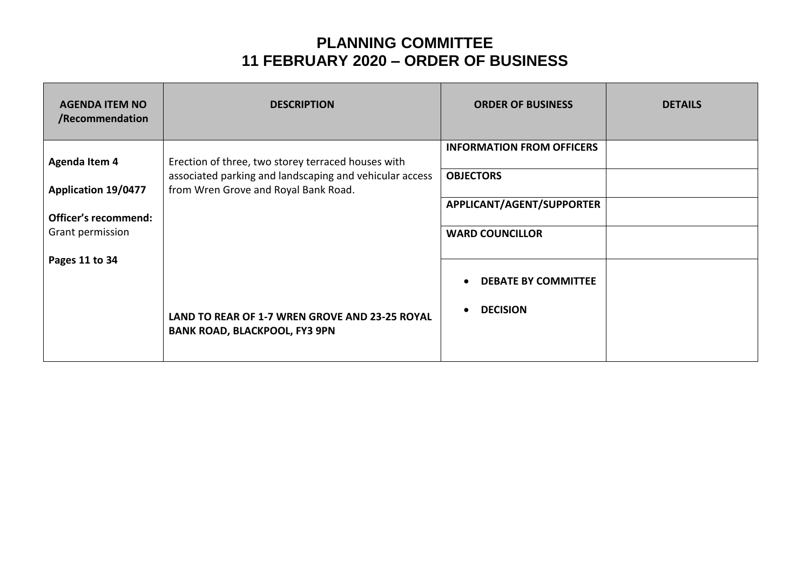## **PLANNING COMMITTEE 11 FEBRUARY 2020 – ORDER OF BUSINESS**

| <b>AGENDA ITEM NO</b><br>/Recommendation | <b>DESCRIPTION</b>                                                                              | <b>ORDER OF BUSINESS</b>         | <b>DETAILS</b> |
|------------------------------------------|-------------------------------------------------------------------------------------------------|----------------------------------|----------------|
| <b>Agenda Item 4</b>                     | Erection of three, two storey terraced houses with                                              | <b>INFORMATION FROM OFFICERS</b> |                |
| <b>Application 19/0477</b>               | associated parking and landscaping and vehicular access<br>from Wren Grove and Royal Bank Road. | <b>OBJECTORS</b>                 |                |
| <b>Officer's recommend:</b>              |                                                                                                 | APPLICANT/AGENT/SUPPORTER        |                |
| Grant permission                         |                                                                                                 | <b>WARD COUNCILLOR</b>           |                |
| Pages 11 to 34                           |                                                                                                 |                                  |                |
|                                          |                                                                                                 | <b>DEBATE BY COMMITTEE</b>       |                |
|                                          | LAND TO REAR OF 1-7 WREN GROVE AND 23-25 ROYAL<br><b>BANK ROAD, BLACKPOOL, FY3 9PN</b>          | <b>DECISION</b>                  |                |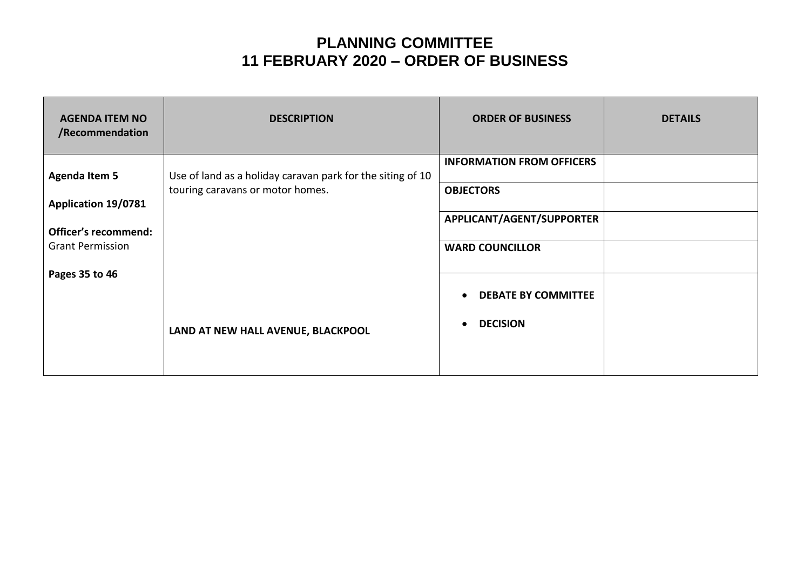## **PLANNING COMMITTEE 11 FEBRUARY 2020 – ORDER OF BUSINESS**

| <b>AGENDA ITEM NO</b><br>/Recommendation | <b>DESCRIPTION</b>                                         | <b>ORDER OF BUSINESS</b>         | <b>DETAILS</b> |
|------------------------------------------|------------------------------------------------------------|----------------------------------|----------------|
| <b>Agenda Item 5</b>                     | Use of land as a holiday caravan park for the siting of 10 | <b>INFORMATION FROM OFFICERS</b> |                |
| <b>Application 19/0781</b>               | touring caravans or motor homes.                           | <b>OBJECTORS</b>                 |                |
| <b>Officer's recommend:</b>              |                                                            | APPLICANT/AGENT/SUPPORTER        |                |
| <b>Grant Permission</b>                  |                                                            | <b>WARD COUNCILLOR</b>           |                |
| Pages 35 to 46                           |                                                            | <b>DEBATE BY COMMITTEE</b>       |                |
|                                          |                                                            | <b>DECISION</b>                  |                |
|                                          | LAND AT NEW HALL AVENUE, BLACKPOOL                         |                                  |                |
|                                          |                                                            |                                  |                |